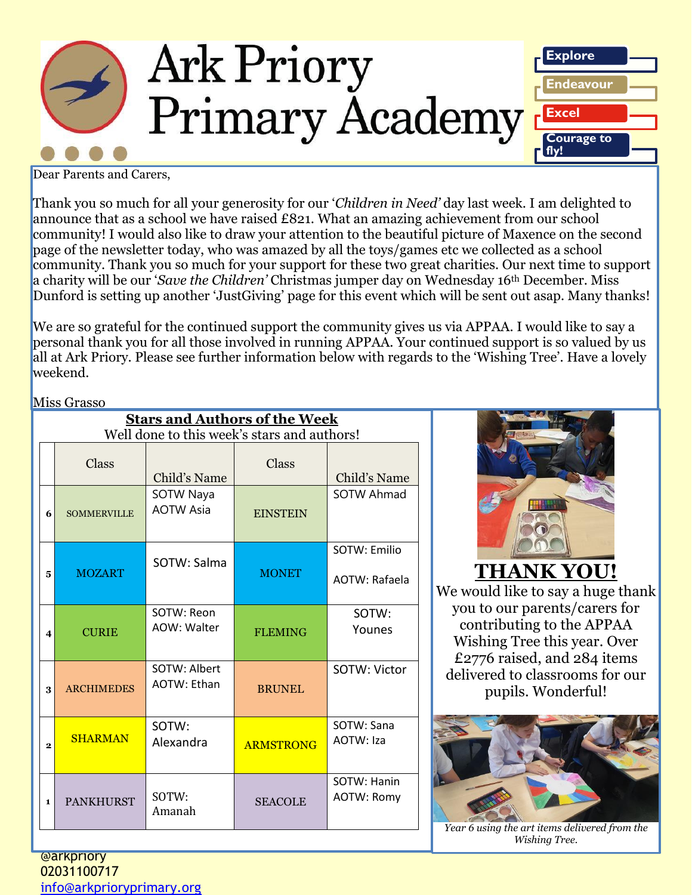

Dear Parents and Carers,

Thank you so much for all your generosity for our '*Children in Need'* day last week. I am delighted to announce that as a school we have raised £821. What an amazing achievement from our school community! I would also like to draw your attention to the beautiful picture of Maxence on the second page of the newsletter today, who was amazed by all the toys/games etc we collected as a school community. Thank you so much for your support for these two great charities. Our next time to support a charity will be our '*Save the Children'* Christmas jumper day on Wednesday 16th December. Miss Dunford is setting up another 'JustGiving' page for this event which will be sent out asap. Many thanks!

We are so grateful for the continued support the community gives us via APPAA. I would like to say a personal thank you for all those involved in running APPAA. Your continued support is so valued by us all at Ark Priory. Please see further information below with regards to the 'Wishing Tree'. Have a lovely weekend.

#### Miss Grasso

| <b>Stars and Authors of the Week</b>        |                    |                                      |                  |                               |  |  |  |  |
|---------------------------------------------|--------------------|--------------------------------------|------------------|-------------------------------|--|--|--|--|
| Well done to this week's stars and authors! |                    |                                      |                  |                               |  |  |  |  |
|                                             | Class              | Child's Name                         | Class            | Child's Name                  |  |  |  |  |
| 6                                           | <b>SOMMERVILLE</b> | <b>SOTW Naya</b><br><b>AOTW Asia</b> | <b>EINSTEIN</b>  | <b>SOTW Ahmad</b>             |  |  |  |  |
| 5                                           | <b>MOZART</b>      | SOTW: Salma                          | <b>MONET</b>     | SOTW: Emilio<br>AOTW: Rafaela |  |  |  |  |
| 4                                           | <b>CURIE</b>       | SOTW: Reon<br>AOW: Walter            | <b>FLEMING</b>   | SOTW:<br>Younes               |  |  |  |  |
| 3                                           | <b>ARCHIMEDES</b>  | SOTW: Albert<br><b>AOTW: Ethan</b>   | <b>BRUNEL</b>    | SOTW: Victor                  |  |  |  |  |
| $\overline{2}$                              | <b>SHARMAN</b>     | SOTW:<br>Alexandra                   | <b>ARMSTRONG</b> | SOTW: Sana<br>AOTW: Iza       |  |  |  |  |
| 1                                           | <b>PANKHURST</b>   | SOTW:<br>Amanah                      | <b>SEACOLE</b>   | SOTW: Hanin<br>AOTW: Romy     |  |  |  |  |



**THANK YOU!**

We would like to say a huge thank you to our parents/carers for contributing to the APPAA Wishing Tree this year. Over £2776 raised, and 284 items delivered to classrooms for our pupils. Wonderful!



*Ark Priori Priori Priori Priori Priori Priori Priori Priori Priori Priori Priori Priori Priori Priori Priori Priori Priori Priori Priori Priori Priori Priori Priori Priori Priori Priori Priori Priori Priori Priori Priori Wishing Tree.*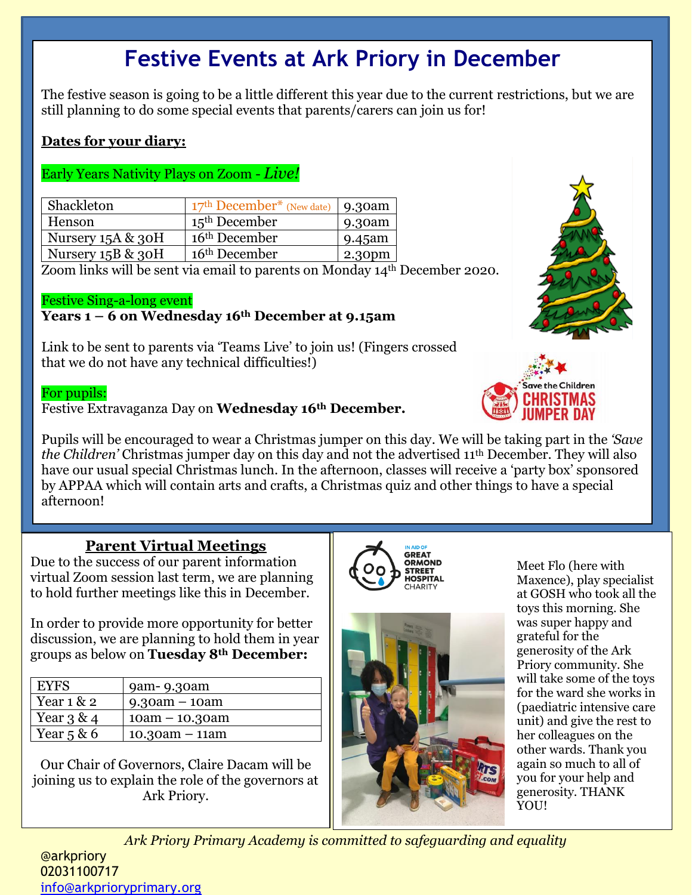# **Festive Events at Ark Priory in December**

The festive season is going to be a little different this year due to the current restrictions, but we are still planning to do some special events that parents/carers can join us for!

## **Dates for your diary:**

### Early Years Nativity Plays on Zoom - *Live!*

| Shackleton           | $17th December* (New date)$ 9.30am |        |
|----------------------|------------------------------------|--------|
| Henson               | $15th$ December                    | 9.30am |
| Nursery 15A & 30H    | 16 <sup>th</sup> December          | 9.45am |
| Nursery $15B \& 30H$ | 16 <sup>th</sup> December          | 2.30pm |

Zoom links will be sent via email to parents on Monday 14th December 2020.

#### Festive Sing-a-long event

#### **Years 1 – 6 on Wednesday 16th December at 9.15am**

Link to be sent to parents via 'Teams Live' to join us! (Fingers crossed that we do not have any technical difficulties!)

#### For pupils:

Festive Extravaganza Day on **Wednesday 16th December.**

Pupils will be encouraged to wear a Christmas jumper on this day. We will be taking part in the *'Save the Children'* Christmas jumper day on this day and not the advertised 11th December. They will also have our usual special Christmas lunch. In the afternoon, classes will receive a 'party box' sponsored by APPAA which will contain arts and crafts, a Christmas quiz and other things to have a special afternoon!

## **Parent Virtual Meetings**

Due to the success of our parent information virtual Zoom session last term, we are planning to hold further meetings like this in December.

In order to provide more opportunity for better discussion, we are planning to hold them in year groups as below on **Tuesday 8th December:**

| <b>EYFS</b>  | 9am-9.30am       |
|--------------|------------------|
| Year $1 & 2$ | $9.30am - 10am$  |
| Year $3 & 4$ | $10am - 10.30am$ |
| Year $5 & 6$ | $10.30am - 11am$ |

Our Chair of Governors, Claire Dacam will be joining us to explain the role of the governors at Ark Priory.





Meet Flo (here with Maxence), play specialist at GOSH who took all the toys this morning. She was super happy and grateful for the generosity of the Ark Priory community. She will take some of the toys for the ward she works in (paediatric intensive care unit) and give the rest to her colleagues on the other wards. Thank you again so much to all of you for your help and generosity. THANK YOU!

*Ark Priory Primary Academy is committed to safeguarding and equality* 

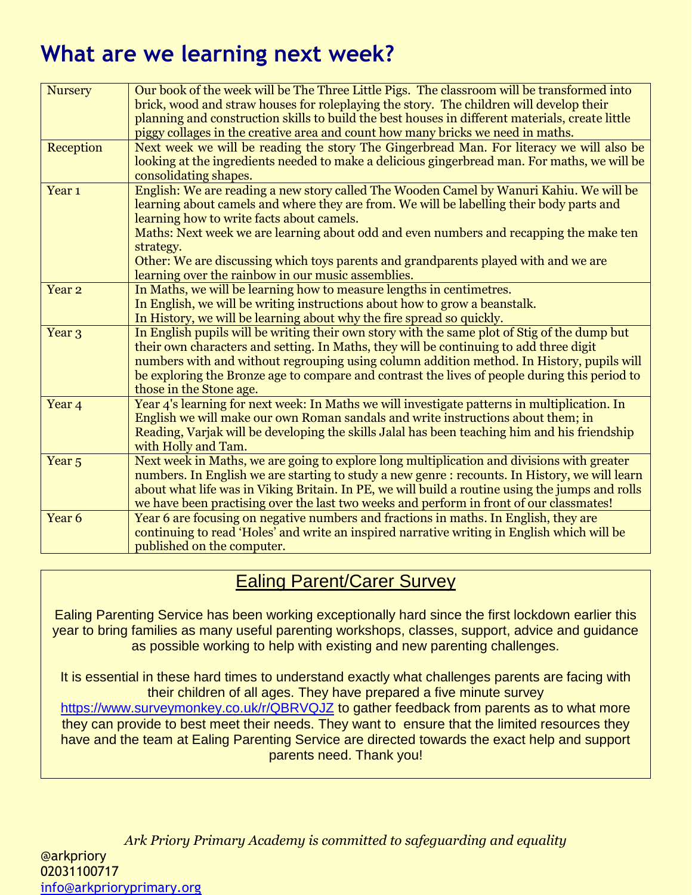# **What are we learning next week?**

| <b>Nursery</b>    | Our book of the week will be The Three Little Pigs. The classroom will be transformed into<br>brick, wood and straw houses for roleplaying the story. The children will develop their<br>planning and construction skills to build the best houses in different materials, create little<br>piggy collages in the creative area and count how many bricks we need in maths.                                                                                                          |
|-------------------|--------------------------------------------------------------------------------------------------------------------------------------------------------------------------------------------------------------------------------------------------------------------------------------------------------------------------------------------------------------------------------------------------------------------------------------------------------------------------------------|
| Reception         | Next week we will be reading the story The Gingerbread Man. For literacy we will also be<br>looking at the ingredients needed to make a delicious gingerbread man. For maths, we will be<br>consolidating shapes.                                                                                                                                                                                                                                                                    |
| Year <sub>1</sub> | English: We are reading a new story called The Wooden Camel by Wanuri Kahiu. We will be<br>learning about camels and where they are from. We will be labelling their body parts and<br>learning how to write facts about camels.<br>Maths: Next week we are learning about odd and even numbers and recapping the make ten<br>strategy.<br>Other: We are discussing which toys parents and grandparents played with and we are<br>learning over the rainbow in our music assemblies. |
| Year <sub>2</sub> | In Maths, we will be learning how to measure lengths in centimetres.<br>In English, we will be writing instructions about how to grow a beanstalk.<br>In History, we will be learning about why the fire spread so quickly.                                                                                                                                                                                                                                                          |
| Year <sub>3</sub> | In English pupils will be writing their own story with the same plot of Stig of the dump but<br>their own characters and setting. In Maths, they will be continuing to add three digit<br>numbers with and without regrouping using column addition method. In History, pupils will<br>be exploring the Bronze age to compare and contrast the lives of people during this period to<br>those in the Stone age.                                                                      |
| Year <sub>4</sub> | Year 4's learning for next week: In Maths we will investigate patterns in multiplication. In<br>English we will make our own Roman sandals and write instructions about them; in<br>Reading, Varjak will be developing the skills Jalal has been teaching him and his friendship<br>with Holly and Tam.                                                                                                                                                                              |
| Year <sub>5</sub> | Next week in Maths, we are going to explore long multiplication and divisions with greater<br>numbers. In English we are starting to study a new genre : recounts. In History, we will learn<br>about what life was in Viking Britain. In PE, we will build a routine using the jumps and rolls<br>we have been practising over the last two weeks and perform in front of our classmates!                                                                                           |
| Year <sub>6</sub> | Year 6 are focusing on negative numbers and fractions in maths. In English, they are<br>continuing to read 'Holes' and write an inspired narrative writing in English which will be<br>published on the computer.                                                                                                                                                                                                                                                                    |

# Ealing Parent/Carer Survey

Ealing Parenting Service has been working exceptionally hard since the first lockdown earlier this year to bring families as many useful parenting workshops, classes, support, advice and guidance as possible working to help with existing and new parenting challenges.

It is essential in these hard times to understand exactly what challenges parents are facing with their children of all ages. They have prepared a five minute survey <https://www.surveymonkey.co.uk/r/QBRVQJZ> to gather feedback from parents as to what more they can provide to best meet their needs. They want to ensure that the limited resources they have and the team at Ealing Parenting Service are directed towards the exact help and support parents need. Thank you!

*Ark Priory Primary Academy is committed to safeguarding and equality*  @arkpriory 02031100717 [info@arkprioryprimary.org](mailto:info@arkprioryprimary.org)